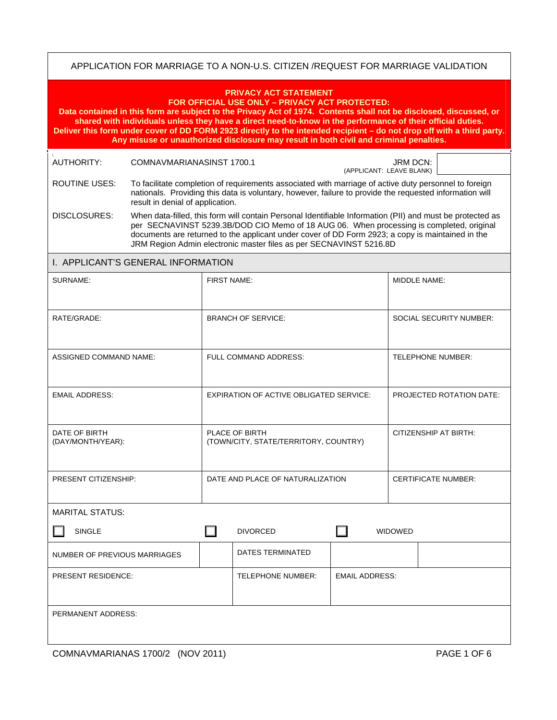## APPLICATION FOR MARRIAGE TO A NON-U.S. CITIZEN /REQUEST FOR MARRIAGE VALIDATION

| <b>PRIVACY ACT STATEMENT</b><br>FOR OFFICIAL USE ONLY - PRIVACY ACT PROTECTED:<br>Data contained in this form are subject to the Privacy Act of 1974. Contents shall not be disclosed, discussed, or<br>shared with individuals unless they have a direct need-to-know in the performance of their official duties.<br>Deliver this form under cover of DD FORM 2923 directly to the intended recipient - do not drop off with a third party.<br>Any misuse or unauthorized disclosure may result in both civil and criminal penalties. |                                                                                                                                                                                                                                                                                                                                                                                 |                                                         |                  |                          |                                |                                 |  |
|-----------------------------------------------------------------------------------------------------------------------------------------------------------------------------------------------------------------------------------------------------------------------------------------------------------------------------------------------------------------------------------------------------------------------------------------------------------------------------------------------------------------------------------------|---------------------------------------------------------------------------------------------------------------------------------------------------------------------------------------------------------------------------------------------------------------------------------------------------------------------------------------------------------------------------------|---------------------------------------------------------|------------------|--------------------------|--------------------------------|---------------------------------|--|
| AUTHORITY:                                                                                                                                                                                                                                                                                                                                                                                                                                                                                                                              | COMNAVMARIANASINST 1700.1                                                                                                                                                                                                                                                                                                                                                       |                                                         |                  | (APPLICANT: LEAVE BLANK) | JRM DCN:                       |                                 |  |
| <b>ROUTINE USES:</b>                                                                                                                                                                                                                                                                                                                                                                                                                                                                                                                    | To facilitate completion of requirements associated with marriage of active duty personnel to foreign<br>nationals. Providing this data is voluntary, however, failure to provide the requested information will<br>result in denial of application.                                                                                                                            |                                                         |                  |                          |                                |                                 |  |
| DISCLOSURES:                                                                                                                                                                                                                                                                                                                                                                                                                                                                                                                            | When data-filled, this form will contain Personal Identifiable Information (PII) and must be protected as<br>per SECNAVINST 5239.3B/DOD CIO Memo of 18 AUG 06. When processing is completed, original<br>documents are returned to the applicant under cover of DD Form 2923; a copy is maintained in the<br>JRM Region Admin electronic master files as per SECNAVINST 5216.8D |                                                         |                  |                          |                                |                                 |  |
| I. APPLICANT'S GENERAL INFORMATION                                                                                                                                                                                                                                                                                                                                                                                                                                                                                                      |                                                                                                                                                                                                                                                                                                                                                                                 |                                                         |                  |                          |                                |                                 |  |
| SURNAME:                                                                                                                                                                                                                                                                                                                                                                                                                                                                                                                                |                                                                                                                                                                                                                                                                                                                                                                                 | FIRST NAME:                                             |                  |                          |                                | MIDDLE NAME:                    |  |
| RATE/GRADE:                                                                                                                                                                                                                                                                                                                                                                                                                                                                                                                             |                                                                                                                                                                                                                                                                                                                                                                                 | <b>BRANCH OF SERVICE:</b>                               |                  |                          | <b>SOCIAL SECURITY NUMBER:</b> |                                 |  |
| <b>ASSIGNED COMMAND NAME:</b>                                                                                                                                                                                                                                                                                                                                                                                                                                                                                                           |                                                                                                                                                                                                                                                                                                                                                                                 | FULL COMMAND ADDRESS:                                   |                  |                          |                                | <b>TELEPHONE NUMBER:</b>        |  |
| <b>EMAIL ADDRESS:</b>                                                                                                                                                                                                                                                                                                                                                                                                                                                                                                                   |                                                                                                                                                                                                                                                                                                                                                                                 | <b>EXPIRATION OF ACTIVE OBLIGATED SERVICE:</b>          |                  |                          |                                | <b>PROJECTED ROTATION DATE:</b> |  |
| DATE OF BIRTH<br>(DAY/MONTH/YEAR):                                                                                                                                                                                                                                                                                                                                                                                                                                                                                                      |                                                                                                                                                                                                                                                                                                                                                                                 | PLACE OF BIRTH<br>(TOWN/CITY, STATE/TERRITORY, COUNTRY) |                  |                          | <b>CITIZENSHIP AT BIRTH:</b>   |                                 |  |
| PRESENT CITIZENSHIP:                                                                                                                                                                                                                                                                                                                                                                                                                                                                                                                    |                                                                                                                                                                                                                                                                                                                                                                                 | DATE AND PLACE OF NATURALIZATION                        |                  |                          | <b>CERTIFICATE NUMBER:</b>     |                                 |  |
| <b>MARITAL STATUS:</b>                                                                                                                                                                                                                                                                                                                                                                                                                                                                                                                  |                                                                                                                                                                                                                                                                                                                                                                                 |                                                         |                  |                          |                                |                                 |  |
| <b>SINGLE</b>                                                                                                                                                                                                                                                                                                                                                                                                                                                                                                                           |                                                                                                                                                                                                                                                                                                                                                                                 | <b>DIVORCED</b>                                         |                  | <b>WIDOWED</b>           |                                |                                 |  |
| NUMBER OF PREVIOUS MARRIAGES                                                                                                                                                                                                                                                                                                                                                                                                                                                                                                            |                                                                                                                                                                                                                                                                                                                                                                                 |                                                         | DATES TERMINATED |                          |                                |                                 |  |
| PRESENT RESIDENCE:                                                                                                                                                                                                                                                                                                                                                                                                                                                                                                                      |                                                                                                                                                                                                                                                                                                                                                                                 | TELEPHONE NUMBER:<br><b>EMAIL ADDRESS:</b>              |                  |                          |                                |                                 |  |
| PERMANENT ADDRESS:                                                                                                                                                                                                                                                                                                                                                                                                                                                                                                                      |                                                                                                                                                                                                                                                                                                                                                                                 |                                                         |                  |                          |                                |                                 |  |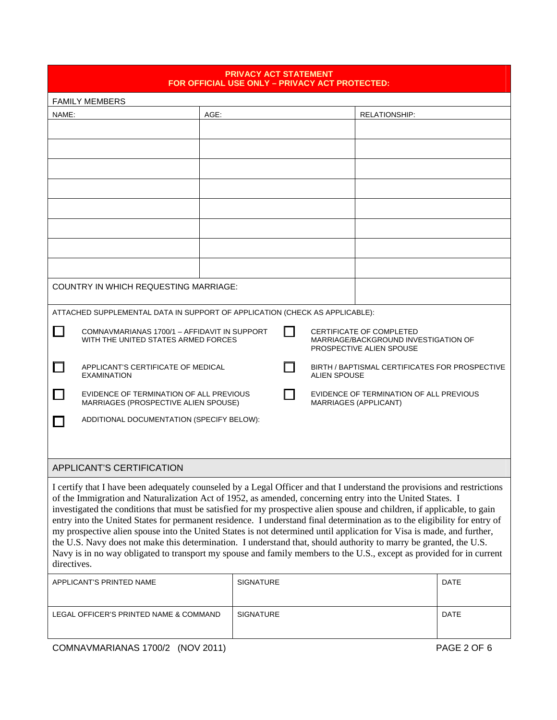| <b>PRIVACY ACT STATEMENT</b><br>FOR OFFICIAL USE ONLY – PRIVACY ACT PROTECTED:                                                                                                                                                                                                                                                                                                                                                                                                                                                                                                                                                                                                                                                                                                                                                                                                     |                                                                                                                                                                                     |                                                                       |                  |  |                                                                  |               |             |
|------------------------------------------------------------------------------------------------------------------------------------------------------------------------------------------------------------------------------------------------------------------------------------------------------------------------------------------------------------------------------------------------------------------------------------------------------------------------------------------------------------------------------------------------------------------------------------------------------------------------------------------------------------------------------------------------------------------------------------------------------------------------------------------------------------------------------------------------------------------------------------|-------------------------------------------------------------------------------------------------------------------------------------------------------------------------------------|-----------------------------------------------------------------------|------------------|--|------------------------------------------------------------------|---------------|-------------|
| <b>FAMILY MEMBERS</b>                                                                                                                                                                                                                                                                                                                                                                                                                                                                                                                                                                                                                                                                                                                                                                                                                                                              |                                                                                                                                                                                     |                                                                       |                  |  |                                                                  |               |             |
| NAME:                                                                                                                                                                                                                                                                                                                                                                                                                                                                                                                                                                                                                                                                                                                                                                                                                                                                              |                                                                                                                                                                                     | AGE:                                                                  |                  |  |                                                                  | RELATIONSHIP: |             |
|                                                                                                                                                                                                                                                                                                                                                                                                                                                                                                                                                                                                                                                                                                                                                                                                                                                                                    |                                                                                                                                                                                     |                                                                       |                  |  |                                                                  |               |             |
|                                                                                                                                                                                                                                                                                                                                                                                                                                                                                                                                                                                                                                                                                                                                                                                                                                                                                    |                                                                                                                                                                                     |                                                                       |                  |  |                                                                  |               |             |
|                                                                                                                                                                                                                                                                                                                                                                                                                                                                                                                                                                                                                                                                                                                                                                                                                                                                                    |                                                                                                                                                                                     |                                                                       |                  |  |                                                                  |               |             |
|                                                                                                                                                                                                                                                                                                                                                                                                                                                                                                                                                                                                                                                                                                                                                                                                                                                                                    |                                                                                                                                                                                     |                                                                       |                  |  |                                                                  |               |             |
|                                                                                                                                                                                                                                                                                                                                                                                                                                                                                                                                                                                                                                                                                                                                                                                                                                                                                    |                                                                                                                                                                                     |                                                                       |                  |  |                                                                  |               |             |
|                                                                                                                                                                                                                                                                                                                                                                                                                                                                                                                                                                                                                                                                                                                                                                                                                                                                                    |                                                                                                                                                                                     |                                                                       |                  |  |                                                                  |               |             |
|                                                                                                                                                                                                                                                                                                                                                                                                                                                                                                                                                                                                                                                                                                                                                                                                                                                                                    |                                                                                                                                                                                     |                                                                       |                  |  |                                                                  |               |             |
|                                                                                                                                                                                                                                                                                                                                                                                                                                                                                                                                                                                                                                                                                                                                                                                                                                                                                    |                                                                                                                                                                                     |                                                                       |                  |  |                                                                  |               |             |
|                                                                                                                                                                                                                                                                                                                                                                                                                                                                                                                                                                                                                                                                                                                                                                                                                                                                                    | <b>COUNTRY IN WHICH REQUESTING MARRIAGE:</b>                                                                                                                                        |                                                                       |                  |  |                                                                  |               |             |
| ATTACHED SUPPLEMENTAL DATA IN SUPPORT OF APPLICATION (CHECK AS APPLICABLE):                                                                                                                                                                                                                                                                                                                                                                                                                                                                                                                                                                                                                                                                                                                                                                                                        |                                                                                                                                                                                     |                                                                       |                  |  |                                                                  |               |             |
|                                                                                                                                                                                                                                                                                                                                                                                                                                                                                                                                                                                                                                                                                                                                                                                                                                                                                    | COMNAVMARIANAS 1700/1 - AFFIDAVIT IN SUPPORT<br>CERTIFICATE OF COMPLETED<br>WITH THE UNITED STATES ARMED FORCES<br>MARRIAGE/BACKGROUND INVESTIGATION OF<br>PROSPECTIVE ALIEN SPOUSE |                                                                       |                  |  |                                                                  |               |             |
|                                                                                                                                                                                                                                                                                                                                                                                                                                                                                                                                                                                                                                                                                                                                                                                                                                                                                    | APPLICANT'S CERTIFICATE OF MEDICAL<br><b>EXAMINATION</b>                                                                                                                            | BIRTH / BAPTISMAL CERTIFICATES FOR PROSPECTIVE<br><b>ALIEN SPOUSE</b> |                  |  |                                                                  |               |             |
|                                                                                                                                                                                                                                                                                                                                                                                                                                                                                                                                                                                                                                                                                                                                                                                                                                                                                    | EVIDENCE OF TERMINATION OF ALL PREVIOUS<br>MARRIAGES (PROSPECTIVE ALIEN SPOUSE)                                                                                                     |                                                                       |                  |  | EVIDENCE OF TERMINATION OF ALL PREVIOUS<br>MARRIAGES (APPLICANT) |               |             |
|                                                                                                                                                                                                                                                                                                                                                                                                                                                                                                                                                                                                                                                                                                                                                                                                                                                                                    | ADDITIONAL DOCUMENTATION (SPECIFY BELOW):                                                                                                                                           |                                                                       |                  |  |                                                                  |               |             |
|                                                                                                                                                                                                                                                                                                                                                                                                                                                                                                                                                                                                                                                                                                                                                                                                                                                                                    |                                                                                                                                                                                     |                                                                       |                  |  |                                                                  |               |             |
| APPLICANT'S CERTIFICATION                                                                                                                                                                                                                                                                                                                                                                                                                                                                                                                                                                                                                                                                                                                                                                                                                                                          |                                                                                                                                                                                     |                                                                       |                  |  |                                                                  |               |             |
| I certify that I have been adequately counseled by a Legal Officer and that I understand the provisions and restrictions<br>of the Immigration and Naturalization Act of 1952, as amended, concerning entry into the United States. I<br>investigated the conditions that must be satisfied for my prospective alien spouse and children, if applicable, to gain<br>entry into the United States for permanent residence. I understand final determination as to the eligibility for entry of<br>my prospective alien spouse into the United States is not determined until application for Visa is made, and further,<br>the U.S. Navy does not make this determination. I understand that, should authority to marry be granted, the U.S.<br>Navy is in no way obligated to transport my spouse and family members to the U.S., except as provided for in current<br>directives. |                                                                                                                                                                                     |                                                                       |                  |  |                                                                  |               |             |
|                                                                                                                                                                                                                                                                                                                                                                                                                                                                                                                                                                                                                                                                                                                                                                                                                                                                                    | APPLICANT'S PRINTED NAME                                                                                                                                                            |                                                                       | <b>SIGNATURE</b> |  |                                                                  | DATE          |             |
| LEGAL OFFICER'S PRINTED NAME & COMMAND                                                                                                                                                                                                                                                                                                                                                                                                                                                                                                                                                                                                                                                                                                                                                                                                                                             |                                                                                                                                                                                     |                                                                       | SIGNATURE        |  |                                                                  |               | <b>DATE</b> |

COMNAVMARIANAS 1700/2 (NOV 2011) PAGE 2 OF 6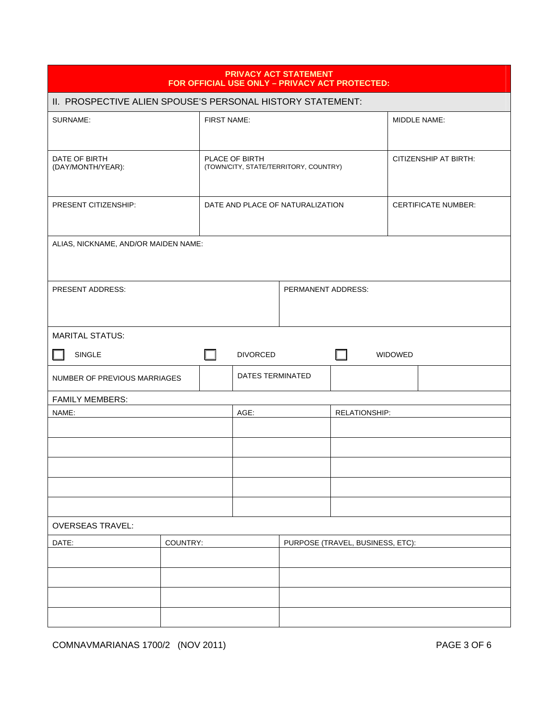| <b>PRIVACY ACT STATEMENT</b><br>FOR OFFICIAL USE ONLY - PRIVACY ACT PROTECTED: |                                  |                                  |                         |                                       |               |         |                            |
|--------------------------------------------------------------------------------|----------------------------------|----------------------------------|-------------------------|---------------------------------------|---------------|---------|----------------------------|
| II. PROSPECTIVE ALIEN SPOUSE'S PERSONAL HISTORY STATEMENT:                     |                                  |                                  |                         |                                       |               |         |                            |
| SURNAME:                                                                       |                                  | <b>FIRST NAME:</b>               |                         |                                       |               |         | MIDDLE NAME:               |
| DATE OF BIRTH<br>(DAY/MONTH/YEAR):                                             |                                  |                                  | PLACE OF BIRTH          | (TOWN/CITY, STATE/TERRITORY, COUNTRY) |               |         | CITIZENSHIP AT BIRTH:      |
| PRESENT CITIZENSHIP:                                                           | DATE AND PLACE OF NATURALIZATION |                                  |                         |                                       |               |         | <b>CERTIFICATE NUMBER:</b> |
| ALIAS, NICKNAME, AND/OR MAIDEN NAME:                                           |                                  |                                  |                         |                                       |               |         |                            |
| PRESENT ADDRESS:<br>PERMANENT ADDRESS:                                         |                                  |                                  |                         |                                       |               |         |                            |
| <b>MARITAL STATUS:</b>                                                         |                                  |                                  |                         |                                       |               |         |                            |
| SINGLE                                                                         |                                  | l I                              | <b>DIVORCED</b>         |                                       | H             | WIDOWED |                            |
| NUMBER OF PREVIOUS MARRIAGES                                                   |                                  |                                  | <b>DATES TERMINATED</b> |                                       |               |         |                            |
| <b>FAMILY MEMBERS:</b>                                                         |                                  |                                  |                         |                                       |               |         |                            |
| NAME:                                                                          |                                  |                                  | AGE:                    |                                       | RELATIONSHIP: |         |                            |
|                                                                                |                                  |                                  |                         |                                       |               |         |                            |
|                                                                                |                                  |                                  |                         |                                       |               |         |                            |
|                                                                                |                                  |                                  |                         |                                       |               |         |                            |
|                                                                                |                                  |                                  |                         |                                       |               |         |                            |
| <b>OVERSEAS TRAVEL:</b>                                                        |                                  |                                  |                         |                                       |               |         |                            |
| DATE:<br>COUNTRY:                                                              |                                  | PURPOSE (TRAVEL, BUSINESS, ETC): |                         |                                       |               |         |                            |
|                                                                                |                                  |                                  |                         |                                       |               |         |                            |
|                                                                                |                                  |                                  |                         |                                       |               |         |                            |
|                                                                                |                                  |                                  |                         |                                       |               |         |                            |
|                                                                                |                                  |                                  |                         |                                       |               |         |                            |

COMNAVMARIANAS 1700/2 (NOV 2011) PAGE 3 OF 6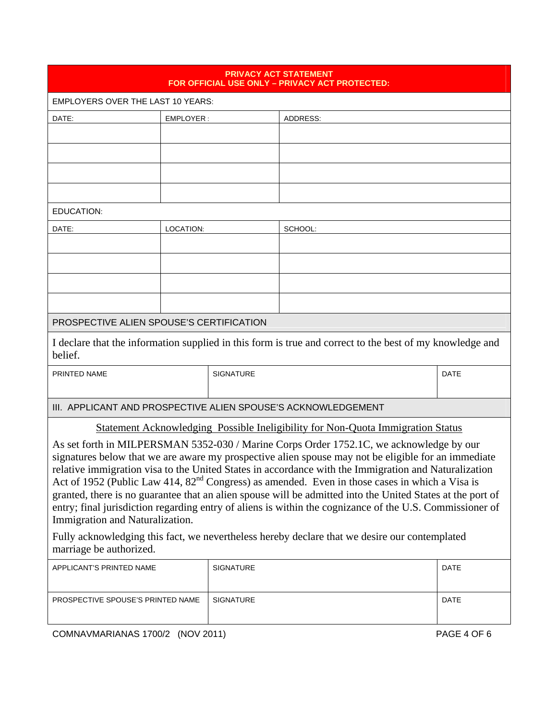|                                                                                                                                                                                                                                                                                                                                                                                                                                                                                                                                                                                                                                                                         |           | <b>PRIVACY ACT STATEMENT</b> | FOR OFFICIAL USE ONLY - PRIVACY ACT PROTECTED: |             |  |  |
|-------------------------------------------------------------------------------------------------------------------------------------------------------------------------------------------------------------------------------------------------------------------------------------------------------------------------------------------------------------------------------------------------------------------------------------------------------------------------------------------------------------------------------------------------------------------------------------------------------------------------------------------------------------------------|-----------|------------------------------|------------------------------------------------|-------------|--|--|
| <b>EMPLOYERS OVER THE LAST 10 YEARS:</b>                                                                                                                                                                                                                                                                                                                                                                                                                                                                                                                                                                                                                                |           |                              |                                                |             |  |  |
| DATE:                                                                                                                                                                                                                                                                                                                                                                                                                                                                                                                                                                                                                                                                   | EMPLOYER: |                              | ADDRESS:                                       |             |  |  |
|                                                                                                                                                                                                                                                                                                                                                                                                                                                                                                                                                                                                                                                                         |           |                              |                                                |             |  |  |
|                                                                                                                                                                                                                                                                                                                                                                                                                                                                                                                                                                                                                                                                         |           |                              |                                                |             |  |  |
|                                                                                                                                                                                                                                                                                                                                                                                                                                                                                                                                                                                                                                                                         |           |                              |                                                |             |  |  |
|                                                                                                                                                                                                                                                                                                                                                                                                                                                                                                                                                                                                                                                                         |           |                              |                                                |             |  |  |
| <b>EDUCATION:</b>                                                                                                                                                                                                                                                                                                                                                                                                                                                                                                                                                                                                                                                       |           |                              |                                                |             |  |  |
| DATE:                                                                                                                                                                                                                                                                                                                                                                                                                                                                                                                                                                                                                                                                   | LOCATION: |                              | SCHOOL:                                        |             |  |  |
|                                                                                                                                                                                                                                                                                                                                                                                                                                                                                                                                                                                                                                                                         |           |                              |                                                |             |  |  |
|                                                                                                                                                                                                                                                                                                                                                                                                                                                                                                                                                                                                                                                                         |           |                              |                                                |             |  |  |
|                                                                                                                                                                                                                                                                                                                                                                                                                                                                                                                                                                                                                                                                         |           |                              |                                                |             |  |  |
|                                                                                                                                                                                                                                                                                                                                                                                                                                                                                                                                                                                                                                                                         |           |                              |                                                |             |  |  |
| PROSPECTIVE ALIEN SPOUSE'S CERTIFICATION                                                                                                                                                                                                                                                                                                                                                                                                                                                                                                                                                                                                                                |           |                              |                                                |             |  |  |
| I declare that the information supplied in this form is true and correct to the best of my knowledge and<br>belief.                                                                                                                                                                                                                                                                                                                                                                                                                                                                                                                                                     |           |                              |                                                |             |  |  |
| PRINTED NAME                                                                                                                                                                                                                                                                                                                                                                                                                                                                                                                                                                                                                                                            |           | <b>SIGNATURE</b>             |                                                | DATE        |  |  |
| III. APPLICANT AND PROSPECTIVE ALIEN SPOUSE'S ACKNOWLEDGEMENT                                                                                                                                                                                                                                                                                                                                                                                                                                                                                                                                                                                                           |           |                              |                                                |             |  |  |
| Statement Acknowledging Possible Ineligibility for Non-Quota Immigration Status                                                                                                                                                                                                                                                                                                                                                                                                                                                                                                                                                                                         |           |                              |                                                |             |  |  |
| As set forth in MILPERSMAN 5352-030 / Marine Corps Order 1752.1C, we acknowledge by our<br>signatures below that we are aware my prospective alien spouse may not be eligible for an immediate<br>relative immigration visa to the United States in accordance with the Immigration and Naturalization<br>Act of 1952 (Public Law 414, $82nd$ Congress) as amended. Even in those cases in which a Visa is<br>granted, there is no guarantee that an alien spouse will be admitted into the United States at the port of<br>entry; final jurisdiction regarding entry of aliens is within the cognizance of the U.S. Commissioner of<br>Immigration and Naturalization. |           |                              |                                                |             |  |  |
| Fully acknowledging this fact, we nevertheless hereby declare that we desire our contemplated<br>marriage be authorized.                                                                                                                                                                                                                                                                                                                                                                                                                                                                                                                                                |           |                              |                                                |             |  |  |
| APPLICANT'S PRINTED NAME                                                                                                                                                                                                                                                                                                                                                                                                                                                                                                                                                                                                                                                |           | SIGNATURE                    |                                                | <b>DATE</b> |  |  |
| PROSPECTIVE SPOUSE'S PRINTED NAME                                                                                                                                                                                                                                                                                                                                                                                                                                                                                                                                                                                                                                       |           | <b>SIGNATURE</b>             | <b>DATE</b>                                    |             |  |  |

COMNAVMARIANAS 1700/2 (NOV 2011) PAGE 4 OF 6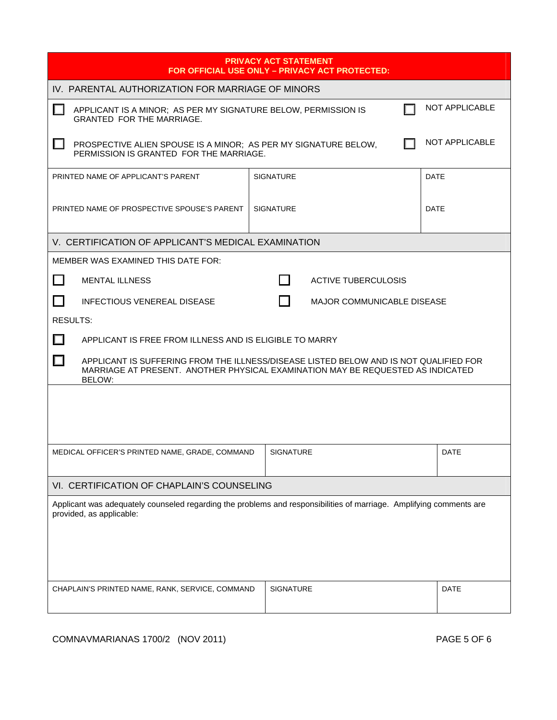| <b>PRIVACY ACT STATEMENT</b><br>FOR OFFICIAL USE ONLY - PRIVACY ACT PROTECTED:                                                                                                               |                            |             |  |  |  |  |  |
|----------------------------------------------------------------------------------------------------------------------------------------------------------------------------------------------|----------------------------|-------------|--|--|--|--|--|
| IV. PARENTAL AUTHORIZATION FOR MARRIAGE OF MINORS                                                                                                                                            |                            |             |  |  |  |  |  |
| NOT APPLICABLE<br>APPLICANT IS A MINOR; AS PER MY SIGNATURE BELOW, PERMISSION IS<br><b>GRANTED FOR THE MARRIAGE.</b>                                                                         |                            |             |  |  |  |  |  |
| NOT APPLICABLE<br>PROSPECTIVE ALIEN SPOUSE IS A MINOR; AS PER MY SIGNATURE BELOW,<br>PERMISSION IS GRANTED FOR THE MARRIAGE.                                                                 |                            |             |  |  |  |  |  |
| PRINTED NAME OF APPLICANT'S PARENT                                                                                                                                                           | <b>SIGNATURE</b>           | <b>DATE</b> |  |  |  |  |  |
| PRINTED NAME OF PROSPECTIVE SPOUSE'S PARENT                                                                                                                                                  | <b>SIGNATURE</b>           | <b>DATE</b> |  |  |  |  |  |
| V. CERTIFICATION OF APPLICANT'S MEDICAL EXAMINATION                                                                                                                                          |                            |             |  |  |  |  |  |
| <b>MEMBER WAS EXAMINED THIS DATE FOR:</b>                                                                                                                                                    |                            |             |  |  |  |  |  |
| l 1<br><b>MENTAL ILLNESS</b>                                                                                                                                                                 | <b>ACTIVE TUBERCULOSIS</b> |             |  |  |  |  |  |
| <b>INFECTIOUS VENEREAL DISEASE</b><br><b>MAJOR COMMUNICABLE DISEASE</b>                                                                                                                      |                            |             |  |  |  |  |  |
| <b>RESULTS:</b>                                                                                                                                                                              |                            |             |  |  |  |  |  |
| $\Box$<br>APPLICANT IS FREE FROM ILLNESS AND IS ELIGIBLE TO MARRY                                                                                                                            |                            |             |  |  |  |  |  |
| $\Box$<br>APPLICANT IS SUFFERING FROM THE ILLNESS/DISEASE LISTED BELOW AND IS NOT QUALIFIED FOR<br>MARRIAGE AT PRESENT. ANOTHER PHYSICAL EXAMINATION MAY BE REQUESTED AS INDICATED<br>BELOW: |                            |             |  |  |  |  |  |
|                                                                                                                                                                                              |                            |             |  |  |  |  |  |
|                                                                                                                                                                                              |                            |             |  |  |  |  |  |
| MEDICAL OFFICER'S PRINTED NAME, GRADE, COMMAND                                                                                                                                               | <b>SIGNATURE</b>           | <b>DATE</b> |  |  |  |  |  |
| VI. CERTIFICATION OF CHAPLAIN'S COUNSELING                                                                                                                                                   |                            |             |  |  |  |  |  |
| Applicant was adequately counseled regarding the problems and responsibilities of marriage. Amplifying comments are<br>provided, as applicable:                                              |                            |             |  |  |  |  |  |
| CHAPLAIN'S PRINTED NAME, RANK, SERVICE, COMMAND                                                                                                                                              | <b>SIGNATURE</b>           | <b>DATE</b> |  |  |  |  |  |